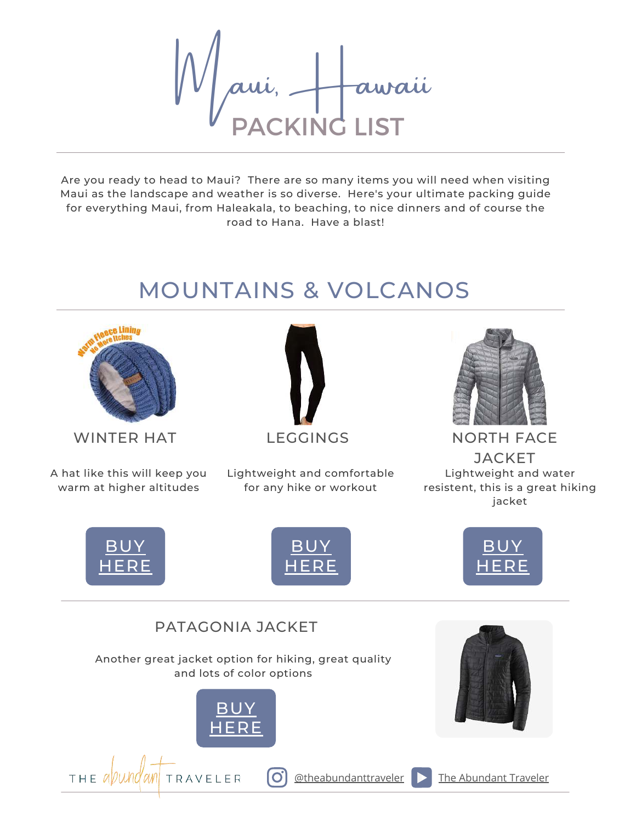KING awaii<br>I IST

Are you ready to head to Maui? There are so many items you will need when visiting Maui as the landscape and weather is so diverse. Here's your ultimate packing guide for everything Maui, from Haleakala, to beaching, to nice dinners and of course the road to Hana. Have a blast!

# MOUNTAINS & VOLCANOS



A hat like this will keep you warm at higher altitudes



Lightweight and comfortable for any hike or workout



WINTER HAT LEGGINGS NORTH FACE

**JACKET** Lightweight and water resistent, this is a great hiking jacket



THE *all und an* I TRAVELER



**J[UNE 28, 2020](https://theabundanttraveler.com/) MORRIS FAMILYASIA TRAVEL**

IOI



#### PATAGONIA JACKET

Another great jacket option for hiking, great quality and lots of color options





 $\phi$  [The Abundant Traveler](https://www.youtube.com/channel/UCH-u_k-LZ2TeX2KwydzeRKw) The Abundant Traveler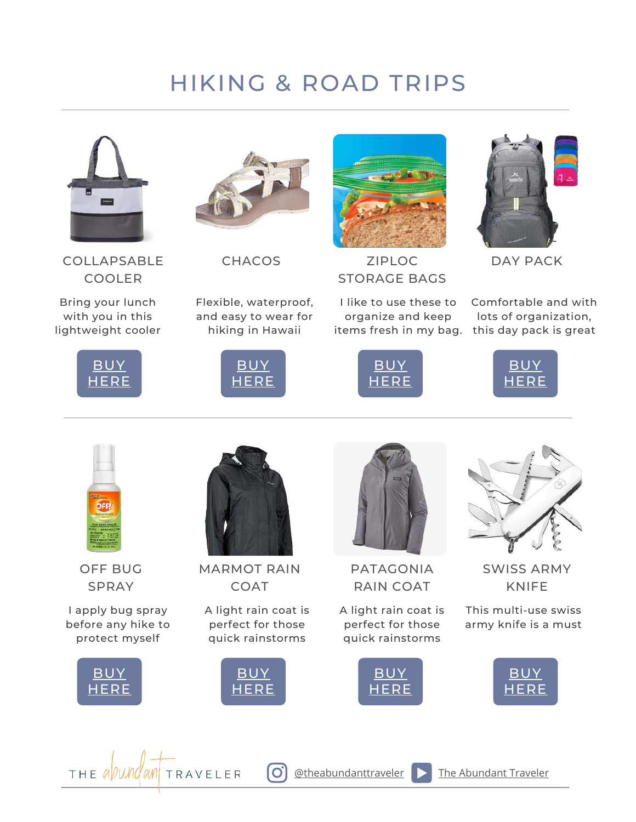# HIKING & ROAD TRIPS



COLLAPSABLE COOLER

Bring your lunch with you in this lightweight cooler





**CHACOS** 

Flexible, waterproof, and easy to wear for hiking in Hawaii

[BUY](https://amzn.to/3fQbFiL) [HERE](https://amzn.to/3fQbFiL)



ZIPLOC STORAGE BAGS

I like to use these to organize and keep items fresh in my bag. this day pack is great





DAY PACK

Comfortable and with lots of organization,





OFF BUG SPRAY

I apply bug spray before any hike to protect myself



THE a*l* UWI



MARMOT RAIN COAT

A light rain coat is perfect for those quick rainstorms



 $\overline{O}$ 

TRAVELER



PATAGONIA RAIN COAT

A light rain coat is perfect for those quick rainstorms





SWISS ARMY KNIFE

This multi-use swiss army knife is a must



 $\boxed{\text{otheabundanttraveler}}$  [The Abundant Traveler](https://www.youtube.com/channel/UCH-u_k-LZ2TeX2KwydzeRKw)

**J[UNE 28, 2020](https://theabundanttraveler.com/) MORRIS FAMILYASIA TRAVEL**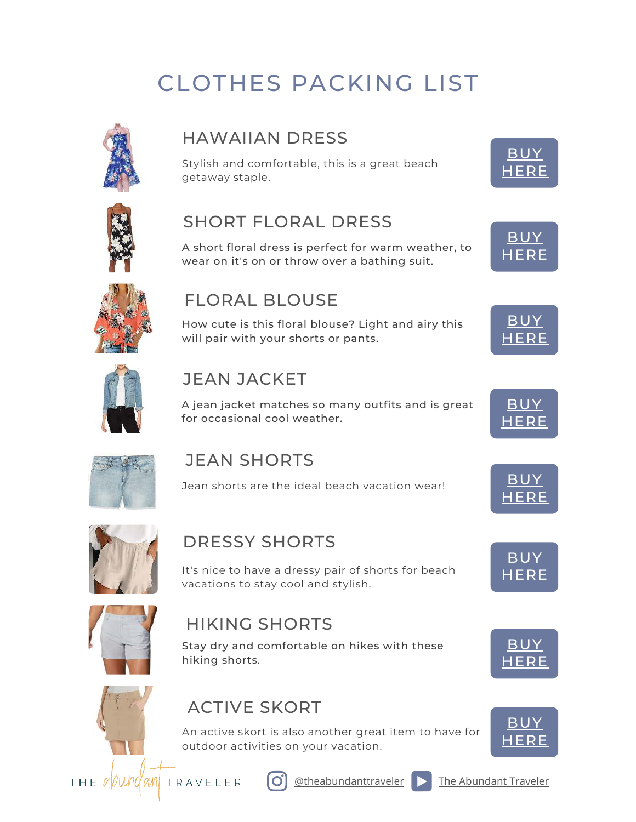# CLOTHES PACKING LIST



### HAWAIIAN DRESS

Stylish and comfortable, this is a great beach getaway staple.



**[BUY](https://amzn.to/3m0g3PU) [HERE](https://amzn.to/3m0g3PU)** 



# SHORT FLORAL DRESS

A short floral dress is perfect for warm weather, to wear on it's on or throw over a bathing suit.



## FLORAL BLOUSE

How cute is this floral blouse? Light and airy this will pair with your shorts or pants.





# JEAN JACKET

A jean jacket matches so many outfits and is great for occasional cool weather.



[HERE](https://amzn.to/3xP2nJU)

[BUY](https://amzn.to/3AJdSUW) [HERE](https://amzn.to/3AJdSUW)



## JEAN SHORTS

Jean shorts are the ideal beach vacation wear!  $\begin{array}{|c|c|}\hline\text{BU}\end{array}$ 



# DRESSY SHORTS

It's nice to have a dressy pair of shorts for beach vacations to stay cool and stylish.



# HIKING SHORTS

Stay dry and comfortable on hikes with these hiking shorts.

# ACTIVE SKORT

An active skort is also another great item to have for outdoor activities on your vacation.



[BUY](https://amzn.to/3xIRzgn) [HERE](https://amzn.to/3xIRzgn)



THE *avund* and **TRAVELER** 



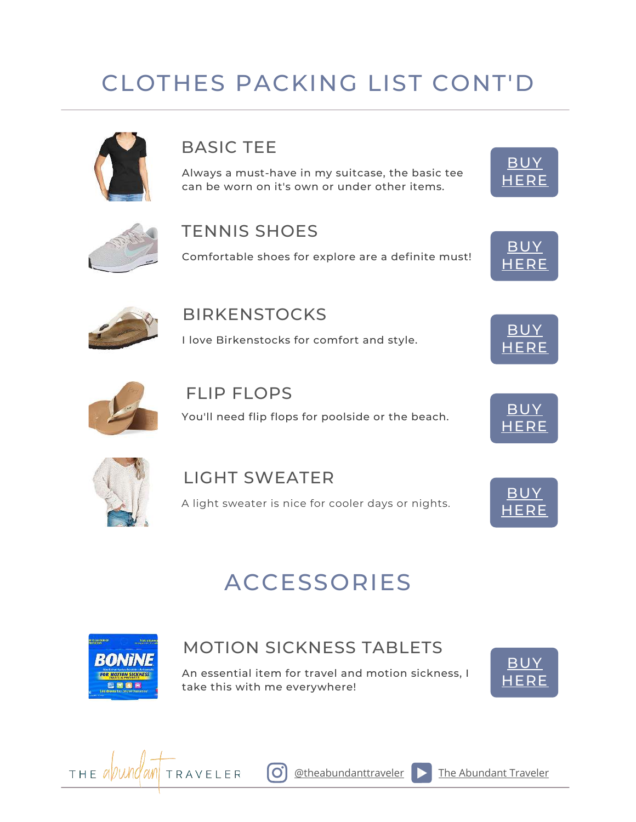# CLOTHES PACKING LIST CONT'D



## BASIC TEE

Always a must-have in my suitcase, the basic tee can be worn on it's own or under other items.





#### TENNIS SHOES

Comfortable shoes for explore are a definite must!





#### **BIRKENSTOCKS**

I love Birkenstocks for comfort and style.



#### FLIP FLOPS

You'll need flip flops for poolside or the beach. [BUY](https://amzn.to/3CLbij8)



BU\ ERE



# LIGHT SWEATER A light sweater is nice for cooler days or nights.



# ACCESSORIES



## MOTION SICKNESS TABLETS

An essential item for travel and motion sickness, I take this with me everywhere!





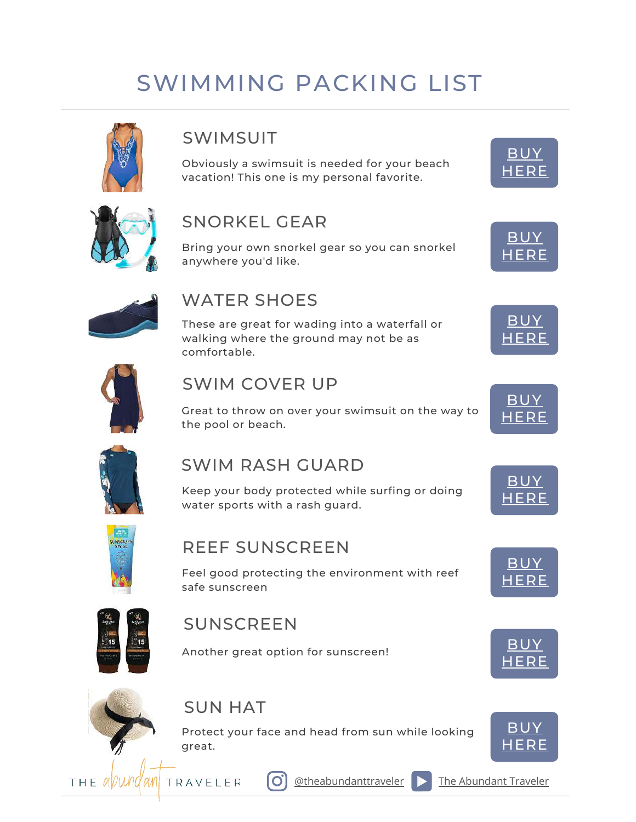# SWIMMING PACKING LIST



## SWIMSUIT

Obviously a swimsuit is needed for your beach vacation! This one is my personal favorite.





### SNORKEL GEAR

Bring your own snorkel gear so you can snorkel anywhere you'd like.



### WATER SHOES

These are great for wading into a waterfall or walking where the ground may not be as comfortable.



### SWIM COVER UP

Great to throw on over your swimsuit on the way to the pool or beach.



[BUY](https://amzn.to/37D4ZA5) [HERE](https://amzn.to/37D4ZA5)

[BUY](https://amzn.to/3iLVg0o) [HERE](https://amzn.to/3iLVg0o)



### SWIM RASH GUARD

Keep your body protected while surfing or doing water sports with a rash guard.



### REEF SUNSCREEN

Feel good protecting the environment with reef safe sunscreen



### SUNSCREEN

Another great option for sunscreen! The same of the [BUY](https://amzn.to/3gebM80)



# SUN HAT

Protect your face and head from sun while looking great.



[HERE](https://amzn.to/3gebM80)

THE *avund* and traveler



 $\phi$ theabundanttraveler  $\Box$  [The Abundant Traveler](https://www.youtube.com/channel/UCH-u_k-LZ2TeX2KwydzeRKw)



**[BUY](https://amzn.to/3iLTBYI) [HERE](https://amzn.to/3iLTBYI)**